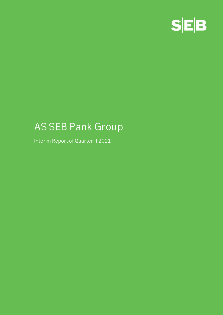

# **AS SEB Pank Group**

**Interim Report of Quarter II 2021**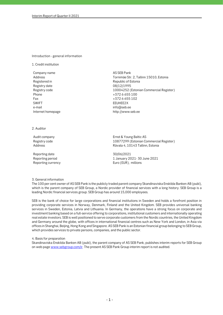#### **Introduction - general information**

**1. Credit institution**

**Company name AS SEB Pank Registered in Republic of Estonia Registry date 08/12/1995 Phone +372 6 655 100 Fax +372 6 655 102 SWIFT EEUHEE2X e-mail info@seb.ee Internet homepage http://www.seb.ee** 

**Address Tornimäe Str. 2, Tallinn 15010, Estonia Registry code 10004252 (Estonian Commercial Register)**

**2. Auditor**

**Reporting date 30/06/2021**

**Audit company Ernst & Young Baltic AS Registry code 10877299 (Estonian Commercial Register) Address Rävala 4, 10143 Tallinn, Estonia**

**Reporting period 1 January 2021- 30 June 2021 Reporting currency Euro (EUR), millions**

#### **3. General information**

**The 100 per cent owner of AS SEB Pank is the publicly traded parent company Skandinaviska Enskilda Banken AB (publ), which is the parent company of SEB Group, a Nordic provider of financial services with a long history. SEB Group is a leading Nordic financial services group. SEB Group has around 15,000 employees.** 

**SEB is the bank of choice for large corporations and financial institutions in Sweden and holds a forefront position in providing corporate services in Norway, Denmark, Finland and the United Kingdom. SEB provides universal banking services in Sweden, Estonia, Latvia and Lithuania. In Germany, the operations have a strong focus on corporate and investment banking based on a full-service offering to corporations, institutional customers and internationally operating real estate investors. SEB is well positioned to serve corporate customers from the Nordic countries, the United Kingdom and Germany around the globe, with offices in international financial centres such as New York and London, in Asia via offices in Shanghai, Beijing, Hong Kong and Singapore. AS SEB Pank is an Estonian financial group belonging to SEB Group, which provides services to private persons, companies, and the public sector.**

#### **4. Basis for preparation**

**Skandinaviska Enskilda Banken AB (publ), the parent company of AS SEB Pank, publishes interim reports for SEB Group on web page www.sebgroup.com/ir. The present AS SEB Pank Group interim report is not audited.**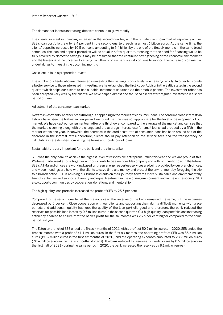#### **The demand for loans is increasing, deposits continue to grow rapidly**

**The clients' interest in financing increased in the second quarter, with the private client loan market especially active. SEB's loan portfolio grew by 2.4 per cent in the second quarter, reaching almost 6 billion euros. At the same time, the clients' deposits increased by 10.5 per cent, amounting to 5.4 billion by the end of the first six months. If the same trend continues, the loan and deposit portfolios will be equal in a few quarters, meaning that the need for financing would be fully covered by domestic savings. It may be presumed that the continued strengthening of the economic environment and the lessening of the uncertainty arising from the coronavirus crisis will continue to support the courage of commercial undertakings to invest in the upcoming months.**

#### **One client in four is prepared to invest**

**The number of clients who are interested in investing their savings productively is increasing rapidly. In order to provide a better service to those interested in investing, we have launched the first Robo- Advisor in the Baltic states in the second quarter which helps our clients to find suitable investment solutions via their mobile phones. The investment robot has been accepted very well by the clients; we have helped almost one thousand clients start regular investment in a short period of time.**

#### **Adjustment of the consumer loan market**

**Next to investments, another breakthrough is happening in the market of consumer loans. The consumer loan interests in Estonia have been the highest in Europe and we found that this was not appropriate for the level of development of our market. We have kept our consumer loan offer one third lower compared to the average of the market and can see that the market is coming along with the change and the average interest rate for small loans had dropped by a fifth in the market within one year. Meanwhile, the decrease in the credit cost rate of consumer loans has been around half of the decrease in the interest rates; therefore, clients should pay attention to the service fees and the transparency of calculating interests when comparing the terms and conditions of loans.**

#### **Sustainability is very important for the bank and the clients alike**

**SEB was the only bank to achieve the highest level of responsible entrepreneurship this year and we are proud of this.**  We have made great efforts together with our clients to be a responsible company and will continue to do so in the future. **SEB's ATMa and offices are working based on green energy, paperless services are being provided by our branch offices, and video meetings are held with the clients to save time and money and protect the environment by foregoing the trip to a branch office. SEB is advising our business clients on their journeys towards more sustainable and environmentally friendly activities and supports diversity and equal treatment in the working environment and in the entire society. SEB also supports communities by cooperation, donations, and mentorship.**

#### **The high-quality loan portfolio increased the profit of SEB by 23.3 per cent**

**Compared to the second quarter of the previous year, the revenue of the bank remained the same, but the expenses decreased by 5 per cent. Close cooperation with our clients and supporting them during difficult moments with grace periods and additional liquidity has kept the quality of the loan portfolio good and therefore, the bank reduced the reserves for possible loan losses by 0.5 million euros in the second quarter. Our high-quality loan portfolio and increasing efficiency enabled to ensure that the bank's profit for the six months was 23.3 per cent higher compared to the same period last year.**

**The Estonian branch of SEB ended the first six months of 2021 with a profit of 50.7 million euros. In 2020, SEB ended the first six months with a profit of 41.1 million euros. In the first six months, the operating profit of SEB was 85.6 million euros (85.3 million euros in the first six months of 2020) and the operating expenses amounted to 28.9 million euros (30.4 million euros in the first six months of 2020). The bank reduced its reserves for credit losses by 0.5 million euros in the first half of 2021 (during the same period in 2020, the bank increased the reserves by 8.1 million euros).**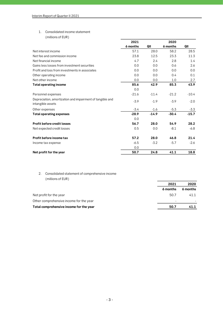## **1. Consolidated income statement**

|                                                                                | 2021     |         | 2020     |         |
|--------------------------------------------------------------------------------|----------|---------|----------|---------|
|                                                                                | 6 months | QII     | 6 months | QII     |
| Net interest income                                                            | 57.1     | 28.0    | 58.2     | 28.5    |
| Net fee and commission income                                                  | 23.8     | 12.5    | 23.3     | 11.3    |
| Net financial income                                                           | 4.7      | 2.4     | 2.8      | 1.4     |
| Gains less losses from investment securities                                   | 0.0      | 0.0     | 0.6      | 2.6     |
| Profit and loss from investments in associates                                 | 0.0      | 0.0     | 0.0      | 0.0     |
| Other operating income                                                         | 0.0      | 0.0     | 0.4      | 0.1     |
| Net other income                                                               | 0.0      | 0.0     | 1.0      | 2.7     |
| <b>Total operating income</b>                                                  | 85.6     | 42.9    | 85.3     | 43.9    |
|                                                                                | 0.0      |         |          |         |
| Personnel expenses                                                             | $-21.6$  | $-11.4$ | $-21.2$  | $-10.4$ |
| Depreciation, amortization and impairment of tangible and<br>intangible assets | $-3.9$   | $-1.9$  | $-3.9$   | $-2.0$  |
| Other expenses                                                                 | $-3.4$   | $-1.6$  | $-5.3$   | $-3.3$  |
| <b>Total operating expenses</b>                                                | $-28.9$  | $-14.9$ | $-30.4$  | $-15.7$ |
|                                                                                | 0.0      |         |          |         |
| <b>Profit before credit losses</b>                                             | 56.7     | 28.0    | 54.9     | 28.2    |
| Net expected credit losses                                                     | 0.5      | 0.0     | $-8.1$   | -6.8    |
| Profit before income tax                                                       | 57.2     | 28.0    | 46.8     | 21.4    |
| Income tax expense                                                             | $-6.5$   | $-3.2$  | $-5.7$   | $-2.6$  |
|                                                                                | 0.0      |         |          |         |
| Net profit for the year                                                        | 50.7     | 24.8    | 41.1     | 18.8    |

### **2. Consolidated statement of comprehensive income (millions of EUR)**

|                                         | 2021     | 2020     |
|-----------------------------------------|----------|----------|
|                                         | 6 months | 6 months |
| Net profit for the year                 | 50.7     | 41.1     |
| Other comprehensive income for the year | ۰        |          |
| Total comprehensive income for the year | 50.7     | 41.1     |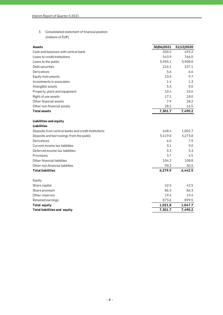**3. Consolidated statement of financial position (millions of EUR)**

| <b>Assets</b>                                       | 30/06/2021 | 31/12/2020 |
|-----------------------------------------------------|------------|------------|
| Cash and balances with central bank                 | 500.2      | 493.2      |
| Loans to credit institutions                        | 543.9      | 766.0      |
| Loans to the public                                 | 5,955.1    | 5,908.0    |
| Debt securities                                     | 216.1      | 227.1      |
| Derivatives                                         | 5.6        | 6.6        |
| Equity instruments                                  | 10.5       | 9.7        |
| Investments in associates                           | 1.4        | 1.3        |
| Intangible assets                                   | 5.3        | 5.0        |
| Property, plant and equipment                       | 10.4       | 10.6       |
| Right of use assets                                 | 17.1       | 18.0       |
| Other financial assets                              | 7.9        | 28.2       |
| Other non-financial assets                          | 28.2       | 16.5       |
| <b>Total assets</b>                                 | 7,301.7    | 7,490.2    |
|                                                     |            |            |
| Liabilities and equity                              |            |            |
| <b>Liabilities</b>                                  |            |            |
| Deposits from central banks and credit institutions | 648.4      | 1,002.7    |
| Deposits and borrowings from the public             | 5,419.0    | 5,273.8    |
| Derivatives                                         | 6.0        | 7.9        |
| Current income tax liabilities                      | 3.1        | 9.0        |
| Deferred income tax liabilities                     | 5.3        | 5.3        |
| Provisions                                          | 3.7        | 4.5        |
| Other financial liabilities                         | 104.2      | 108.8      |
| Other non-financial liabilities                     | 90.2       | 30.5       |
| <b>Total liabilities</b>                            | 6,279.9    | 6,442.5    |
| Equity                                              |            |            |
| Share capital                                       | 42.5       | 42.5       |
| Share premium                                       | 86.3       | 86.3       |
| Other reserves                                      | 19.4       | 19.4       |
| Retained earnings                                   | 873.6      | 899.5      |
| Total equity                                        | 1,021.8    | 1,047.7    |
| <b>Total liabilities and equity</b>                 | 7,301.7    | 7,490.2    |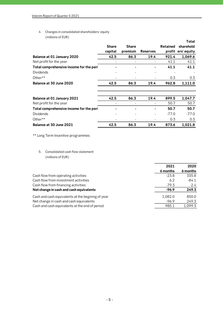**4. Changes in consolidated shareholders' equity (millions of EUR)**

|                                         |              |              |                 |                 | Total              |
|-----------------------------------------|--------------|--------------|-----------------|-----------------|--------------------|
|                                         | <b>Share</b> | <b>Share</b> |                 | <b>Retained</b> | sharehold          |
|                                         | capital      | premium      | <b>Reserves</b> |                 | profit ers' equity |
| Balance at 01 January 2020              | 42.5         | 86.3         | 19.4            | 921.4           | 1,069.6            |
| Net profit for the year                 |              |              |                 | 41.1            | 41.1               |
| Total comprehensive income for the peri |              |              |                 | 41.1            | 41.1               |
| <b>Dividends</b>                        |              |              |                 |                 |                    |
| Other**                                 |              |              |                 | 0.3             | 0.3                |
| Balance at 30 June 2020                 | 42.5         | 86.3         | 19.4            | 962.8           | 1,111.0            |
|                                         |              |              |                 |                 |                    |
| Balance at 01 January 2021              | 42.5         | 86.3         | 19.4            | 899.5           | 1,047.7            |
| Net profit for the year                 |              |              |                 | 50.7            | 50.7               |
| Total comprehensive income for the peri |              |              |                 | 50.7            | 50.7               |
| <b>Dividends</b>                        |              |              |                 | $-77.0$         | $-77.0$            |
| Other**                                 |              |              |                 | 0.3             | 0.3                |
| Balance at 30 June 2021                 | 42.5         | 86.3         | 19.4            | 873.6           | 1,021.8            |

**\*\* Long Term Incentive programmes**

**5. Consolidated cash flow statement (millions of EUR)**

|                                                   | 2021     | 2020     |
|---------------------------------------------------|----------|----------|
|                                                   | 6 months | 6 months |
| Cash flow from operating activities               | $-23.8$  | 335.8    |
| Cash flow from investment activities              | 6.2      | $-84.1$  |
| Cash flow from financing activities               | $-79.3$  | $-2.4$   |
| Net change in cash and cash equivalents           | $-96.9$  | 249.3    |
| Cash and cash equivalents at the beginnig of year | 1,082.0  | 850.0    |
| Net change in cash and cash equivalents           | $-96.9$  | 249.3    |
| Cash and cash equivalents at the end of period    | 985.1    | 1,099.3  |